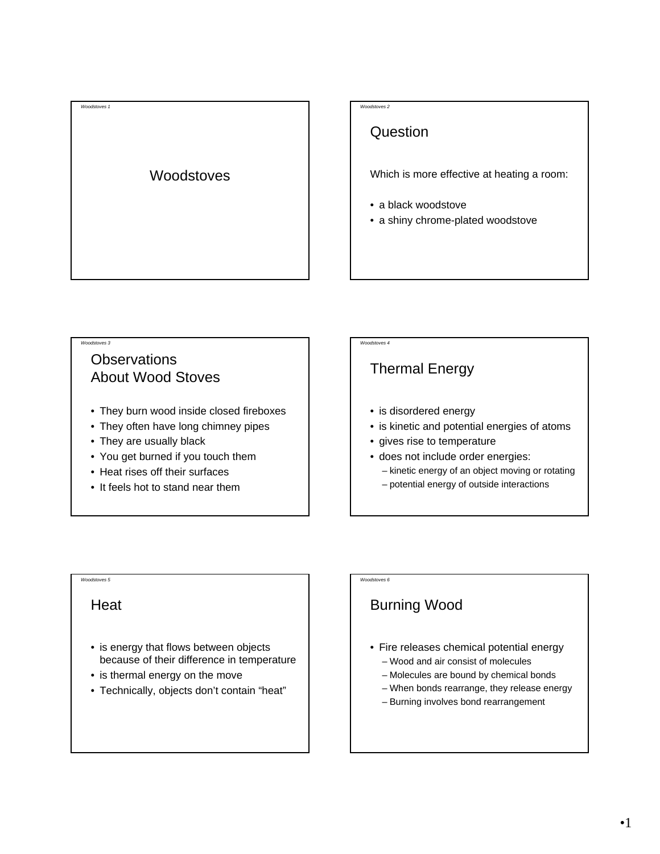# *Woodstoves 1* **Woodstoves**

#### *Woodstoves 2*

# **Question**

Which is more effective at heating a room:

- a black woodstove
- a shiny chrome-plated woodstove

#### *Woodstoves 3*

# **Observations** About Wood Stoves

- They burn wood inside closed fireboxes
- They often have long chimney pipes
- They are usually black
- You get burned if you touch them
- Heat rises off their surfaces
- It feels hot to stand near them

#### *Woodstoves 4*

# Thermal Energy

- is disordered energy
- is kinetic and potential energies of atoms
- gives rise to temperature
- does not include order energies:
	- kinetic energy of an object moving or rotating
	- potential energy of outside interactions

# *Woodstoves 5*

#### **Heat**

- is energy that flows between objects because of their difference in temperature
- is thermal energy on the move
- Technically, objects don't contain "heat"

#### *Woodstoves 6*

# Burning Wood

- Fire releases chemical potential energy
	- Wood and air consist of molecules
	- Molecules are bound by chemical bonds
	- When bonds rearrange, they release energy
	- Burning involves bond rearrangement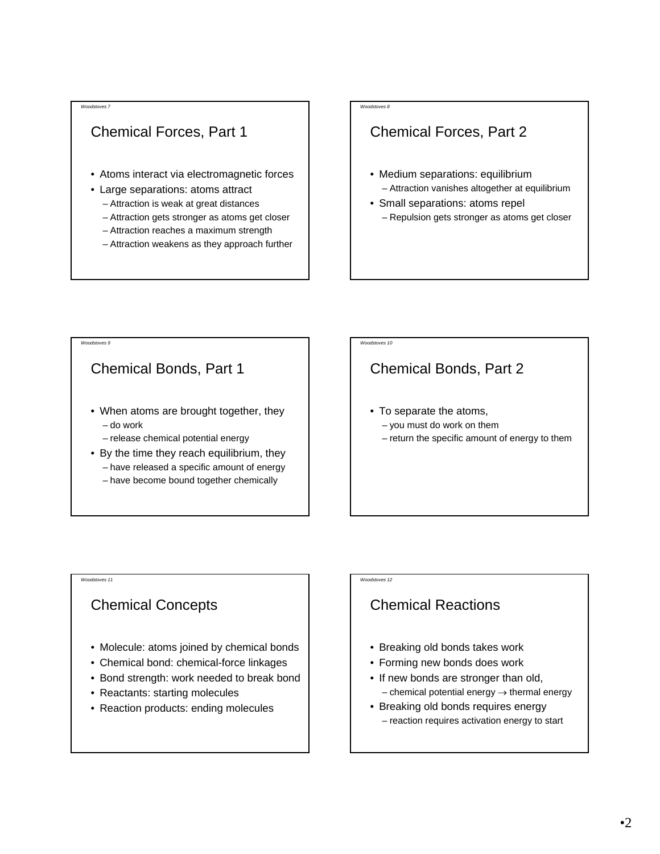# Chemical Forces, Part 1

- Atoms interact via electromagnetic forces
- Large separations: atoms attract
	- Attraction is weak at great distances
	- Attraction gets stronger as atoms get closer
	- Attraction reaches a maximum strength
	- Attraction weakens as they approach further

#### *Woodstoves 8*

# Chemical Forces, Part 2

- Medium separations: equilibrium – Attraction vanishes altogether at equilibrium
- Small separations: atoms repel
	- Repulsion gets stronger as atoms get closer

#### *Woodstoves 9*

#### Chemical Bonds, Part 1

- When atoms are brought together, they – do work
	- release chemical potential energy
- By the time they reach equilibrium, they – have released a specific amount of energy – have become bound together chemically

#### *Woodstoves 10*

# Chemical Bonds, Part 2

- To separate the atoms, – you must do work on them
	- return the specific amount of energy to them

#### *Woodstoves 11*

#### Chemical Concepts

- Molecule: atoms joined by chemical bonds
- Chemical bond: chemical-force linkages
- Bond strength: work needed to break bond
- Reactants: starting molecules
- Reaction products: ending molecules

#### *Woodstoves 12*

# Chemical Reactions

- Breaking old bonds takes work
- Forming new bonds does work
- If new bonds are stronger than old,  $-$  chemical potential energy  $\rightarrow$  thermal energy
- Breaking old bonds requires energy – reaction requires activation energy to start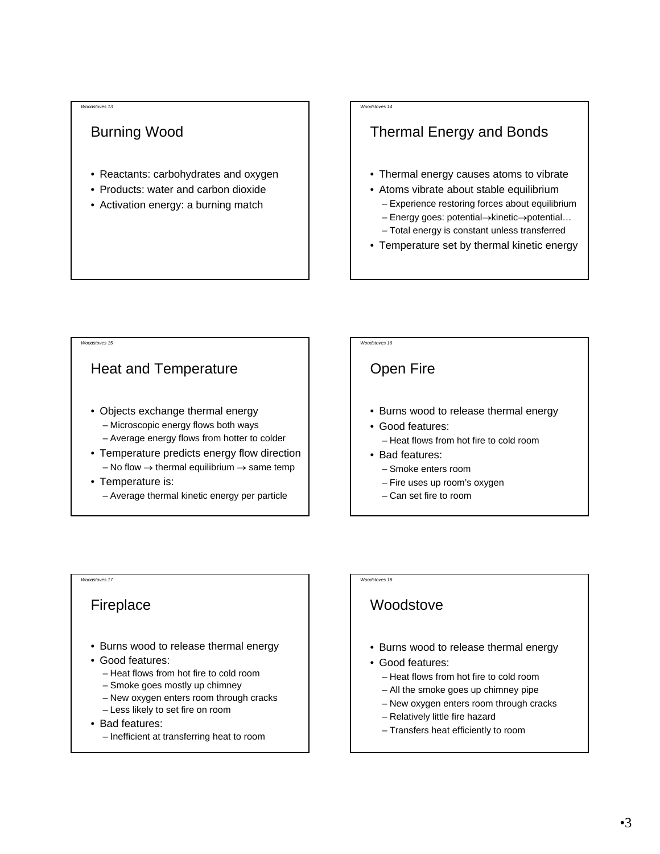# Burning Wood

- Reactants: carbohydrates and oxygen
- Products: water and carbon dioxide
- Activation energy: a burning match

#### *Woodstoves 14*

# Thermal Energy and Bonds

- Thermal energy causes atoms to vibrate
- Atoms vibrate about stable equilibrium – Experience restoring forces about equilibrium
	- Energy goes: potential→kinetic→potential…
	- Total energy is constant unless transferred
- Temperature set by thermal kinetic energy

#### *Woodstoves 15*

#### Heat and Temperature

- Objects exchange thermal energy – Microscopic energy flows both ways
	- Average energy flows from hotter to colder
- Temperature predicts energy flow direction – No flow  $\rightarrow$  thermal equilibrium  $\rightarrow$  same temp
- Temperature is: – Average thermal kinetic energy per particle



# Open Fire

- Burns wood to release thermal energy
- Good features:
	- Heat flows from hot fire to cold room
- Bad features:
	- Smoke enters room
	- Fire uses up room's oxygen
	- Can set fire to room

#### *Woodstoves 17*

#### Fireplace

- Burns wood to release thermal energy
- Good features:
	- Heat flows from hot fire to cold room
	- Smoke goes mostly up chimney
	- New oxygen enters room through cracks
	- Less likely to set fire on room
- Bad features:
	- Inefficient at transferring heat to room

*Woodstoves 18*

# **Woodstove**

- Burns wood to release thermal energy
- Good features:
	- Heat flows from hot fire to cold room
	- All the smoke goes up chimney pipe
	- New oxygen enters room through cracks
	- Relatively little fire hazard
	- Transfers heat efficiently to room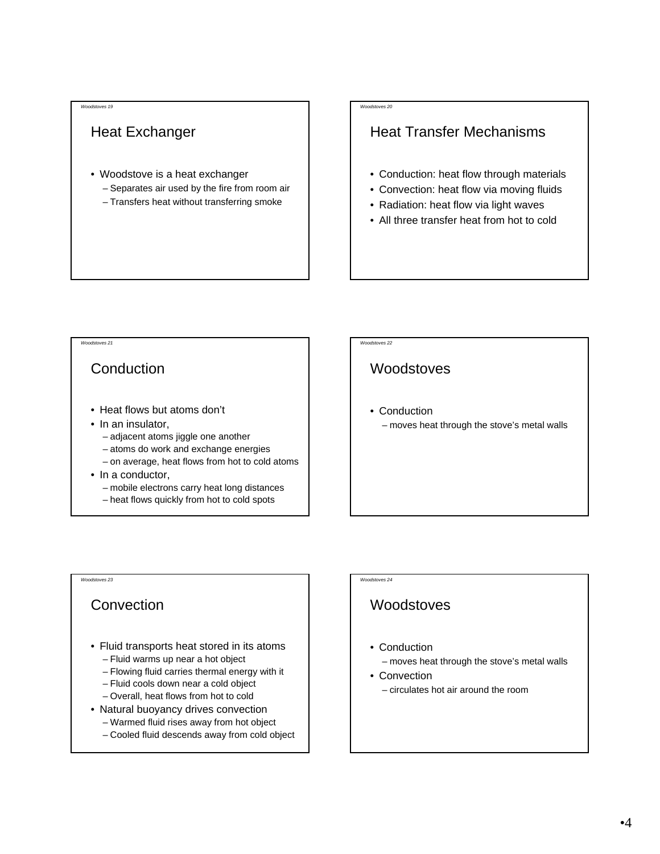# Heat Exchanger

- Woodstove is a heat exchanger – Separates air used by the fire from room air
	- Transfers heat without transferring smoke

#### *Woodstoves 20*

# Heat Transfer Mechanisms

- Conduction: heat flow through materials
- Convection: heat flow via moving fluids
- Radiation: heat flow via light waves
- All three transfer heat from hot to cold

#### *Woodstoves 21*

#### **Conduction**

- Heat flows but atoms don't
- In an insulator,
	- adjacent atoms jiggle one another
	- atoms do work and exchange energies
	- on average, heat flows from hot to cold atoms
- In a conductor,
	- mobile electrons carry heat long distances
	- heat flows quickly from hot to cold spots

#### *Woodstoves 22*

#### **Woodstoves**

- Conduction
	- moves heat through the stove's metal walls

*Woodstoves 23*

#### Convection

- Fluid transports heat stored in its atoms – Fluid warms up near a hot object
	- Flowing fluid carries thermal energy with it
	- Fluid cools down near a cold object
	- Overall, heat flows from hot to cold
- Natural buoyancy drives convection
- Warmed fluid rises away from hot object
- Cooled fluid descends away from cold object

#### *Woodstoves 24*

#### **Woodstoves**

• Conduction

– moves heat through the stove's metal walls

• Convection – circulates hot air around the room